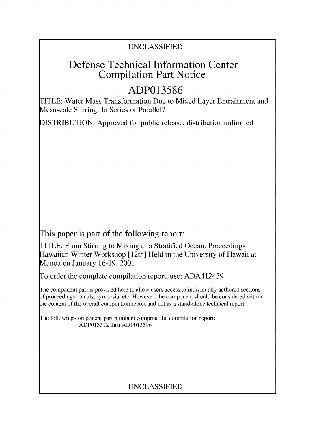## UNCLASSIFIED

# Defense Technical Information Center Compilation Part Notice

# **ADP013586**

TITLE: Water Mass Transformation Due to Mixed Layer Entrainment and Mesoscale Stirring: In Series or Parallel?

DISTRIBUTION: Approved for public release, distribution unlimited

This paper is part of the following report:

TITLE: From Stirring to Mixing in a Stratified Ocean. Proceedings Hawaiian Winter Workshop [ 12th] Held in the University of Hawaii at Manoa on January 16-19, 2001

To order the complete compilation report, use: ADA412459

The component part is provided here to allow users access to individually authored sections **)f** proceedings, annals, symposia, etc. However, the component should be considered within [he context of the overall compilation report and not as a stand-alone technical report.

The following component part numbers comprise the compilation report: ADP013572 thru ADP013596

# UNCLASSIFIED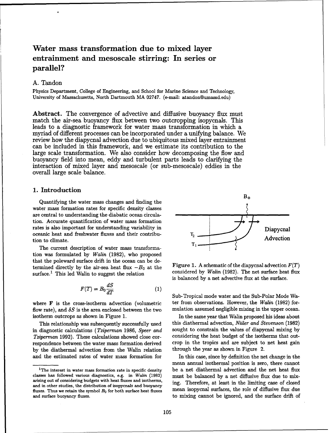## Water mass transformation due to mixed layer entrainment and mesoscale stirring: In series or parallel?

## A. Tandon

Physics Department, College of Engineering, and School for Marine Science and Technology, University of Massachusetts, North Dartmouth MA 02747. (e-mail: atandon@umassd.edu)

Abstract. The convergence of advective and diffusive buoyancy flux must match the air-sea buoyancy flux between two outcropping isopycnals. This leads to a diagnostic framework for water mass transformation in which a myriad of different processes can be incorporated under a unifying balance. We review how the diapycnal advection due to ubiquitous mixed layer entrainment can be included in this framework, and we estimate its contribution to the large scale transformation. We also consider how decomposing the flow and buoyancy field into mean, eddy and turbulent parts leads to clarifying the interaction of mixed layer and mesoscale (or sub-mesoscale) eddies in the overall large scale balance.

### **1.** Introduction

water mass formation rates for specific density classes are central to understanding the diabatic ocean circulation. Accurate quantification of water mass formation rates is also important for understanding variability in Diapycnal oceanic heat and freshwater fluxes and their contribution to climate. Advection

The current description of water mass transformation was formulated by Walin (1982), who proposed that the poleward surface drift in the ocean can be determined directly by the air-sea heat flux  $-B_0$  at the Figure 1. A schematic of the diapycnal advection  $F(T)$ surface.<sup>1</sup> This led Walin to suggest the relation considered by Walin (1982). The net surface heat flux

$$
F(T) = B_0 \frac{dS}{dT}
$$
 (1)

flow rate), and  $\delta S$  is the area enclosed between the two mulation assumed negligible mixing in the upper ocean. isotherm outcrops as shown in Figure 1. In the same year that Walin proposed his ideas about

in diagnostic calculations (Tziperman 1986, Speer and sought to constrain the values of diapycnal mixing by Tziperman 1992). These calculations showed close cor- considering the heat budget of the isotherms that outrespondence between the water mass formation derived crop in the tropics and are subject to net heat gain by the diathermal advection from the Walin relation through the year as shown in Figure 2. and the estimated rates of water mass formation for In this case, since by definition the net change in the



is balanced by a net advective flux at the surface.

Sub-Tropical mode water and the Sub-Polar Mode Wawhere  $F$  is the cross-isotherm advection (volumetric ter from observations. However, the Walin (1982) for-

This relationship was subsequently successfully used this diathermal advection, Niiler *and Stevenson* (1982)

mean annual isothermal position is zero, there cannot <sup>1</sup>The interest in water mass formation rate in specific density be a net diathermal advection and the net heat flux

classes has followed various diagnostics, e.g. in Walin (1982) must be balanced by a net diffusive flux due to mixarising out of considering budgets with heat fluxes and isotherms, ing. Therefore, at least in the limiting case of closed and in other studies, the distribution of isopycnals and buoyancy fluxes. Thus we retain the symbol *B*<sub>0</sub> for both surface heat fluxes mean isopycnal surfaces, the role of diffusive flux due and surface buoyancy fluxes. The surface of the surface drift of the surface drift of the surface drift of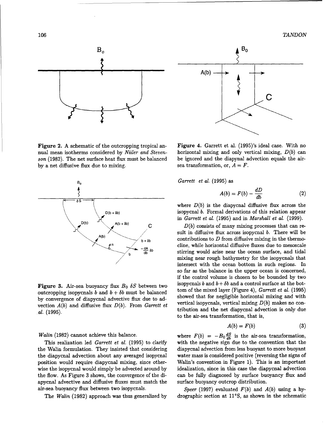106 *TANDON*



Figure 2. A schematic of the outcropping tropical an-<br>Figure 4. Garrett et al. (1995)'s ideal case. With no by a net diffusive flux due to mixing. sea transformation, or,  $A = F$ .



outcropping isopycnals b and  $b + \delta b$  must be balanced by convergence of diapycnal advective flux due to ad-<br>by convergence of diapycnal advective flux due to ad-<br>existent  $f(t)$  and diffusive flux  $D(t)$ . From Consett at vertical isopycnals, vertical mixing  $D(b)$  makes no convection  $A(b)$  and diffusive flux  $D(b)$ . From Garrett et

the Walin formulation. They insisted that considering diapycnal advection from less buoyant to more buoyant position would require diapycnal mixing, since other- Walin's convention in Figure 1). This is an important wise the isopycnal would simply be advected around by idealization, since in this case the diapycnal advection the flow. As Figure **3** shows, the convergence of the di- can be fully diagnosed by surface buoyancy flux and apycnal advective and diffusive fluxes must match the surface buoyancy outcrop distribution. air-sea buoyancy flux between two isopycnals. *Speer* (1997) evaluated F(b) and A(b) using a hy-



nual mean isotherms considered by Niiler and Steven- horizontal mixing and only vertical mixing,  $D(b)$  can son (1982). The net surface heat flux must be balanced be ignored and the diapynal advection equals the air-

$$
A(b) = F(b) - \frac{dD}{db} \tag{2}
$$

where  $D(b)$  is the diapycnal diffusive flux across the D(b + **8b)** isopycnal b. Formal derivations of this relation appear in Garrett et al. (1995) and in *Marshall et* al. (1999).

 $A(b)$  **Sult in diffusive flux across isopycnal b. There will be**  $A(b)$  $b + \delta b$  contributions to D from diffusive mixing in the thermo-<br>cline, while horizontal diffusive fluxes due to mesoscale<br> $-\frac{dA}{db} \delta b$  stirring would arise near the ocean surface, and tidal stirring would arise near the ocean surface, and tidal mixing near rough bathymetry for the isopycnals that intersect with the ocean bottom in such regions. In so far as the balance in the upper ocean is concerned, if the control volume is chosen to be bounded by two **Figure 3.** Air-sea buoyancy flux  $B_0$   $\delta S$  between two isopycnals b and  $b + \delta b$  and a control surface at the bot-<br>contamention isomergies b and b is failured by belanced to provide the mixed layer (Figure 4), Garrett e tribution and the net diapycnal advection is only due  $al. (1995)$ . to the air-sea transformation, that is,

$$
A(b) = F(b) \tag{3}
$$

Walin (1982) cannot achieve this balance. where  $F(b) = -B_0 \frac{dS}{db}$  is the air-sea transformation, This realization led *Garrett et* al. (1995) to clarify with the negative sign due to the convention that the the diapycnal advection about any averaged isopycnal water mass is considered positive (reversing the signs of

The Walin (1982) approach was thus generalized by drographic section at 11°S, as shown in the schematic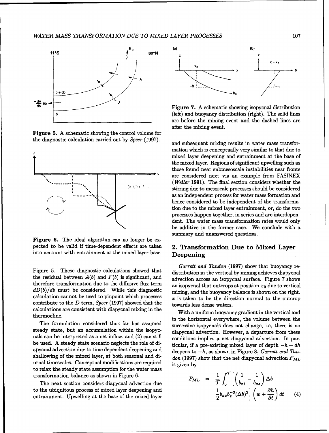

Figure **5. A** schematic showing the control volume for



Figure **6.** The ideal algorithm can no longer be expected to be valid if time-dependent effects are taken **2. Transformation Due to Mixed Layer** into account with entrainment at the mixed layer base. **Deepening**

Figure 5. These diagnostic calculations showed that distribution in the vertical by mixing achieves diapycnal the residual between  $A(b)$  and  $F(b)$  is significant, and advection across an isopycnal surface. Figure 7 shows therefore transformation due to the diffusive flux term an isopycnal that outcrops at position  $x_0$  due to vertical  $dD(b)/db$  must be considered. While this diagnostic mixing, and the buoyancy balance is shown on the right. calculation cannot be used to pinpoint which processes  $x$  is taken to be the direction normal to the outcrop contribute to the  $D$  term, *Speer* (1997) showed that the towards less dense waters. calculations are consistent with diapycnal mixing in the

steady state, but an accumulation within the isopyc-<br>diapycnal advection. However, a departure from these nals can be interpreted as a net inflow, and (2) can still conditions implies a net diapycnal advection. In parbe used. A steady state scenario neglects the role of di-<br>ticular, if a pre-existing mixed layer of depth  $-h+dh$ be used. A steady state scenario neglects the role of di-<br>apycnal advection due to time dependent deepening and<br>deepens to  $-h$ , as shown in Figure 8, *Garrett and Tan*shallowing of the mixed layer, at both seasonal and di- *don* **(1997)** show that the net diapycnal advection *FML* urnal timescales. Conceptual modifications are required is given **by**  $t_{\text{max}}$  is given by<br>to relax the steady state assumption for the water mass transformation balance as shown in Figure 6.

The next section considers diapycnal advection due to the ubiquitous process of mixed layer deepening and entrainment. Upwelling at the base of the mixed layer



**<sup>b</sup>**(left) and buoyancy distribution (right). The solid lines are before the mixing event and the dashed lines are after the mixing event.

the diagnostic calculation carried out **by** *Speer* **(1997).** and subsequent mixing results in water mass transformation which is conceptually very similar to that due to mixed layer deepening and entrainment at the base of the mixed layer. Regions of significant upwelling such as those found near submesoscale instabilities near fronts **ON** are considered next via an example from FASINEX  $(Weller 1991)$ . The final section considers whether the  $\frac{\partial^2 u}{\partial x^2}$  is a stirring due to mesoscale processes should be considered stirring due to mesoscale processes should be considered **... ..** as an independent process for water mass formation and hence considered to be independent of the transformation due to the mixed layer entrainment, or, do the two processes happen together, in series and are interdependent. The water mass transformation rates would only be additive in the former case. We conclude with a summary and unanswered questions.

*Garrett and Tandon* **(1997)** show that buoyancy re-

Executations are consistent with diapychal mixing in the With a uniform buoyancy gradient in the vertical and<br>thermocline. in the horizontal everywhere, the volume between the The formulation considered thus far has assumed successive isopycnals does not change, i.e, there is no

$$
F_{ML} = \frac{1}{\mathcal{T}} \int_0^{\mathcal{T}} \left[ \left( \frac{1}{b_{xi}} - \frac{1}{b_{xs}} \right) \Delta b - \frac{1}{2} b_{xx} b_x^{-3} (\Delta b)^2 \right] \left( w + \frac{\partial h}{\partial t} \right) dt \qquad (4)
$$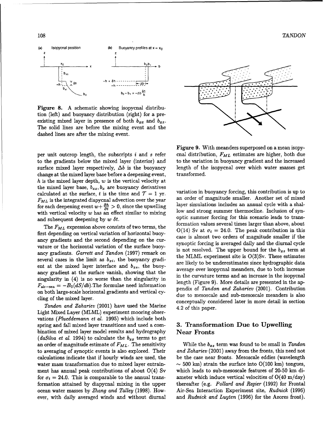108 *TANDON*



Figure 8. A schematic showing isopycnal distribution (left) and buoyancy distribution (right) for a preexisting mixed layer in presence of both  $b_{xx}$  and  $b_{xz}$ . The solid lines are before the mixing event and the dashed lines are after the mixing event.

to the gradients below the mixed layer (interior) and to the variation in buoyancy gradient and the increased surface mixed layer respectively,  $\Delta b$  is the buoyancy length of the isopycnal over which water masses get change at the mixed layer base before a deepening event, transformed. *h* is the mixed layer depth, w is the vertical velocity at the mixed layer base,  $b_{xx}$ ,  $b_x$  are buoyancy derivatives the mixed layer base,  $b_{xx}, b_x$  are buoyancy derivatives calculated at the surface, t is the time and  $\mathcal{T} = 1$  vr. for each deepening event  $w + \frac{\partial h}{\partial t} > 0$ , since the upwelling with vertical velocity *w* has an effect similar to mixing low and strong summer thermocline. Inclusion of syn-<br>optic summer forcing for this scenario leads to trans-<br>and subsequent deepening by *w* of

on both large-scale horizontal gradients and vertical cy-

Tandon and Zahariev (2001) have used the Marine 4.2 of this paper. Light Mixed Layer (MLML) experiment mooring observations (Plueddemann et al. 1995) which include both spring and fall mixed layer transitions and used a com- **3.** Transformation Due to Upwelling bination of mixed layer model results and hydrography Near Fronts *(daSilva et al.* 1994) to calculate the  $b_{xx}$  terms to get an order of magnitude estimate of  $F_{ML}$ . The sensitivity While the  $b_{xz}$  term was found to be small in Tandon



Figure 9. With meanders superposed on a mean isopyper unit outcrop length, the subscripts i and s refer cnal distribution,  $F_{ML}$  estimates are higher, both due

variation in buoyancy forcing, this contribution is up to  $F_{ML}$  is the integrated diapycnal advection over the year an order of magnitude smaller. Another set of mixed<br>for each depening event  $w \perp \frac{\partial h}{\partial x} > 0$  since the unvelling layer simulations includes an annual cycle wit low and strong summer thermocline. Inclusion of synand subsequent deepening by w  $\delta t$ .<br>The F<sub>ML</sub> expression above consists of two terms, the formation values several times larger than above, about the F<sub>ML</sub> expression above consists of two terms, the  $O(14)$  Sv at  $\sigma_t =$ first depending on vertical variation of horizontal buoy-<br>case is almost two orders of magnitude smaller if the ancy gradients and the second depending on the cur-<br>synoptic forcing is averaged daily and the diurnal cycle vature or the horizontal variation of the surface buoy-<br>is not resolved. The upper bound for the  $b_{xz}$  term at ancy gradients. Garrett and Tandon (1997) remark on the MLML experiment site is  $O(3)$ Sv. These estimates several cases in the limit as  $b_{xi}$ , the buoyancy gradi-<br>are likely to be underestimates since hydrographic data ent at the mixed layer interface and  $b_{xs}$ , the buoy-<br>average over isopycnal meanders, due to both increase ancy gradient at the surface vanish, showing that the in the curvature terms and an increase in the isopycnal singularity in (4) is no worse than the singularity in length (Figure 9). More details are presented in the ap- $F_{\text{air}-\text{sea}} = -B_0(dS/db)$ . The formulae need information pendix of Tandon and Zahariev (2001). Contribution on both targe-scale infinitely conceptually considered later in more detail in section<br>conceptually considered later in more detail in section

to averaging of synoptic events is also explored. Their and Zahariev (2001) away from the fronts, this need not calculations indicate that if hourly winds are used, the be the case near fronts. Mesoscale eddies (wavelength water mass transformation due to mixed layer entrain- $\sim$  500 km) strain the surface into O(100 km) tongues, ment has annual peak contributions of about  $O(4)$  Sv which leads to sub-mesoscale features of 20-50 km difor  $\sigma_t = 24.0$ . This is comparable to the annual trans- ameter which induce vertical velocities of O(40 m/day) formation attained by diapycnal mixing in the upper thereafter (e.g. Pollard and Regier (1992) for Frontal ocean water masses by Zhang and Talley (1998). How- Air-Sea Interaction Experiment site, Rudnick (1996) ever, with daily averaged winds and without diurnal and Rudnick and Luyten (1996) for the Azores front).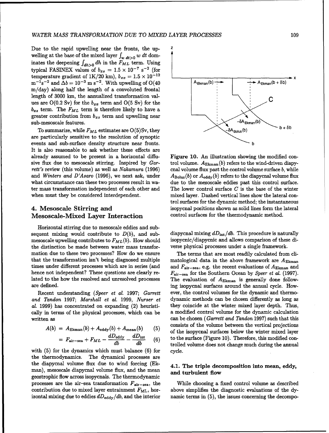Due to the rapid upwelling near the fronts, the upwelling at the base of the mixed layer  $\int_{w} d t > 0$  w dt dominates the deepening  $\int_{dh>0} dh$  in the  $F_{ML}$  term. Using typical FASINEX values of  $b_{xs} = 1.5 \times 10^{-7} \text{ s}^{-2}$  (for temperature gradient of  $1K/20$  km),  $b_{xx} = 1.5 \times 10^{-12}$ <br>  $m^{-1}s^{-2}$  and  $\Delta b = 10^{-3}$  m s<sup>-2</sup>. With upwelling of O(40  $\overline{A_{Ekman}(b) + B_{Ekman}(b + \delta b)}$  $m^{-1} s^{-2}$  and  $\Delta b = 10^{-3}$  m s<sup>-2</sup>. With upwelling of O(40  $\uparrow$  A<sub>Ekman</sub>(b) m/day) along half the length of a convoluted frontal length of 3000 km, the annualized transformation val-  $\qquad \qquad$ ues are  $O(0.2 \text{ Sv})$  for the  $b_{xx}$  term and  $O(5 \text{ Sv})$  for the  $b_{xz}$  term. The  $F_{ML}$  term is therefore likely to have a greater contribution from  $b_{xz}$  term and upwelling near  $sub-mesoscale features.$   $\leftarrow$   $\leftarrow$   $\leftarrow$   $\leftarrow$   $\leftarrow$   $\leftarrow$   $\leftarrow$   $\leftarrow$   $\leftarrow$   $\leftarrow$   $\leftarrow$   $\leftarrow$   $\leftarrow$   $\leftarrow$   $\leftarrow$   $\leftarrow$   $\leftarrow$   $\leftarrow$   $\leftarrow$   $\leftarrow$   $\leftarrow$   $\leftarrow$   $\leftarrow$   $\leftarrow$   $\leftarrow$   $\leftarrow$   $\leftarrow$   $\leftarrow$   $\leftarrow$   $\leftarrow$   $\leftarrow$   $\leftarrow$   $\leftarrow$   $\leftarrow$   $\leftarrow$ 

are particularly sensitive to the resolution of synoptic events and sub-surface density structure near fronts. **b** It is also reasonable to ask whether these effects are already assumed to be present in a horizontal diffu- Figure **10.** An illustration showing the modified consive flux due to mesoscale stirring. Inspired by  $Gar-$  trol volume.  $A_{\text{Ekman}}(b)$  refers to the wind-driven diapyrett's review (this volume) as well as Nakamura (1996) cnal volume flux past the control volume surface b, while and *Winters and D'Asaro* (1996), we next ask, under  $A_{\text{Bolus}}(b)$  or  $A_{\text{eddy}}(b)$  refers to the diapycnal volume flux what circumstance can these two processes result in wa- due to the mesoscale eddies past this control surface. ter mass transformation independent of each other and The lower control surface  $C$  is the base of the winter when must they be considered interdependent. mixed layer. Dashed vertical lines show the lateral con-

# Mesoscale-Mixed Layer Interaction control surfaces for the thermodynamic method.

Horizontal stirring due to mesoscale eddies and subsequent mixing would contribute to  $D(b)$ , and sub-<br>mesoscale upwelling contributes to  $F_{ML}(b)$ . How should isopycnic/diapycnic and allows comparison of these dimesoscale upwelling contributes to  $F_{ML}(b)$ . How should the distinction be made between water mass transfor- verse physical processes under a single framework. mation due to these two processes? How do we ensure The terms that are most readily calculated from clithat the transformation isn't being diagnosed multiple matological data in the above framework are  $A_{\text{Ekman}}$ times under different processes which are in series (and and  $F_{\text{air-sea}}$ , e.g. the recent evaluations of  $A_{\text{Ekman}}$  and hence not independent? These questions are clearly re- Fair-sea for the Southern Ocean by *Speer* et al. (1997). lated to the how the resolved and unresolved processes The evaluation of  $A_{\text{Ekman}}$  is generally done followare defined. ing isopycnal surfaces around the annual cycle. How-

and Tandon 1997; *Marshall* et al. 1999, Nurser et dynamic methods can be chosen differently as long as al. 1999) has concentrated on expanding (2) heuristi-<br>they coincide at the winter mixed layer depth. Thus, cally in terms of the physical processes, which can be a modified control volume for the dynamic calculation written as can be chosen (Garrett and Tandon 1997) such that this

$$
A(b) = A_{\text{Ekman}}(b) + A_{\text{eddy}}(b) + A_{\text{mean}}(b) \qquad (5)
$$

$$
= F_{\text{air-sea}} + F_{ML} - \frac{dD_{\text{eddy}}}{db} - \frac{dD_{\text{int}}}{db} \quad (6)
$$

with (5) for the dynamics which must balance (6) for cycle. the thermodynamics. The dynamical processes are the diapycnal volume flux due to wind forcing (Ek- 4.1. The triple decomposition into mean, eddy, man), mesoscale diapycnal volume flux, and the mean and turbulent flow geostrophic flow across isopycnals. The thermodynamic processes are the air-sea transformation  $F_{\text{air-sea}}$ , the While choosing a fixed control volume as described contribution due to mixed layer entrainment  $F_{ML}$ , hor- above simplifies the diagnostic evaluations of the dyizontal mixing due to eddies  $dD_{\text{eddy}}/db$ , and the interior namic terms in (5), the issues concerning the decompo-



trol surfaces for the dynamic method; the instantaneous 4. Mesoscale Stirring and isopycnal positions shown as solid lines form the lateral

Recent understanding (Speer et al. 1997; Garrett ever, the control volumes for the dynamic and thermoconsists of the volume between the vertical projections of the isopycnal surfaces below the winter mixed layer to the surface (Figure 10). Therefore, this modified controlled volume does not change much during the annual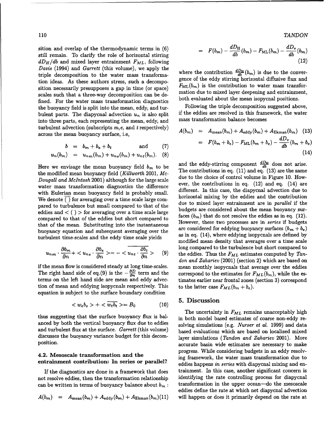sition and overlap of the thermodynamic terms in (6) still remain. To clarify the role of horizontal stirring  $dD_H/db$  and mixed layer entrainment  $F_{ML}$ , following *Davis* (1994) and *Garrett* (this volume), we apply the triple decomposition to the water mass transforma- *db* Davis (1994) and Garrett (this volume), we apply the<br>triple decomposition to the water mass transforma-<br>tion ideas. As these authors stress, such a decompo-<br>tion is the eddy stirring horizontal diffusive flux and<br>tion pos sition necessarily presupposes a gap in time (or space)  $F_{ML}(v_m)$  is the contribution to water mass transfor-<br>realize such that a three case decomposition can be defined in the to mixed layer deepening and entrainment. scales such that a three-way decomposition can be de-<br>final. For the matic procedure formation dismostics both evaluated about the mean isopycnal positions. fined. For the water mass transformation diagnostics both evaluated about the mean isopycnal positions.<br>the buoyancy field is split into the mean eddy and tur-<br>Following the triple decomposition suggested above. the buoyancy field is split into the mean, eddy, and tur-<br>hydent parts. The diapycral advection  $y_{\text{right}}$  is also split if the eddies are resolved in this framework, the water bulent parts. The diapycnal advection  $u_n$  is also split if the eddies are resolved in this framework, the water into three parts, each representing the wasneed wand mass transformation balance becomes into three parts, each representing the mean, eddy, and turbulent advection (subscripts m,e, and t respectively) across the mean buoyancy surface, i.e,

$$
b = b_m + b_e + b_t \qquad \text{and} \qquad (7)
$$

$$
u_n(b_m) = u_{n_m}(b_m) + u_{n\ell}(b_m) + u_{n\ell}(b_m). \quad (8)
$$

Here we envisage the mean buoyancy field  $b_m$  to be<br>the modified mean buoyancy field (Killworth 2001, M<sub>c</sub> The contributions in eq. (11) and eq. (13) are the same the modified mean buoyancy field *(Killworth 2001, Mc-*<br>The contributions in eq. (11) and eq. (13) are the same Dougall and McIntosh 2001) although for the large scale due to the choice of control volume in Figure 10. How-<br>ever, the contributions in eq. (12) and eq. (14) are water mass transformation diagnostics the difference ever, the contributions in eq.  $(12)$  and eq.  $(14)$  are with Eulerian mean buoyancy field is probably small.  $\frac{d}{dr}$  different. In this case, the diapychal advection due to horizontal mixing by the eddies and the contribution We denote () for averaging over a time scale large com-<br>due to mixed layer entrainment are in parallel if the pared to turbulence but small compared to that of the due to mixed layer entrainment are in *parallel* if the budgets are considered about the mean buoyancy sureddies and  $\langle \rangle$  > for averaging over a time scale large budgets are considered about the mean buoyancy sur-<br>surveyed to the table of the relation but check are presented to faces  $(b_m)$  that do not resolve the eddies as compared to that of the eddies but short compared to  $\frac{\text{faces } (b_m)}{\text{However, these two processes are in series if budgets}}$ that of the mean. Substituting into the instantaneous buoyancy equation and subsequent averaging over the are considered for eddying buoyancy surfaces  $(b_m + b_e)$ turbulent time-scales and the eddy time scale yields  $\frac{1}{4}$ , where eddying isopycnals are defined by

$$
u_{nm} \cdot \frac{\partial b_m}{\partial n} + \langle u_{ne} \cdot \frac{\partial b_e}{\partial n} \rangle = -\langle u_{nt} \cdot \frac{\partial b_t}{\partial n} \rangle \qquad (9)
$$

The right hand side of eq. (9) is the  $-\frac{\partial D}{\partial x}$  term and the correspond to the estimates for  $F_{ML}(b_m)$ , while the esterms on the left hand side are mean and eddy advec- timates earlier near frontal zones (section 3) correspond tion of mean and eddying isopycnals respectively. This to the latter case  $F_{ML}(b_m + b_e)$ . equation is subject to the surface boundary condition

$$
\langle w_e b_e \rangle + \langle \overline{w_t b_t} \rangle = B_0 \tag{10}
$$

anced by both the vertical buoyancy flux due to eddies solving simulations (e.g. *Nurser et al.* 1999) and data and turbulent flux at the surface. Garrett (this volume) based evaluations which are based on localized mixed discusses the buoyancy variance budget for this decom-<br>layer simulations (Tandon and Zahariev 2001). More

not resolve eddies, then the transformation relationship can be written in terms of buoyancy balance about  $b_m$ : transformation in the upper ocean-do the mesoscale

$$
A(b_m) = A_{\text{mean}}(b_m) + A_{\text{eddy}}(b_m) + A_{\text{Ekman}}(b_m)(11)
$$

110 *TANDON*

$$
= F(b_m) - \frac{dD_H}{db}(b_m) - F_{\text{ML}}(b_m) - \frac{dD_v}{db}(b_m)
$$
\n(12)

$$
A(b_m) = A_{\text{mean}}(b_m) + A_{\text{eddy}}(b_m) + A_{\text{Ekman}}(b_m) \quad (13)
$$
  
mean buoyancy surface, i.e,  

$$
b = b_m + b_e + b_t \qquad \text{and} \qquad (7)
$$

$$
= F(b_m + b_e) - F_{\text{ML}}(b_m + b_e) - \frac{dD_v}{db}(b_m + b_e)
$$

$$
= F(b_m + b_e) - F_{\text{ML}}(b_m + b_e) - \frac{dD_v}{db}(b_m + b_e) \quad (14)
$$

and the eddy-stirring component  $\frac{dD_H}{db}$  does not arise. modified mean density that averages over a time scale long compared to the turbulence but short compared to the eddies. Thus the  $F_{ML}$  estimates computed by Tandon and Zahariev (2001) (section 2) which are based on if the mean flow is considered steady at long time-scales. mean monthly isopycnals that average over the eddies

### **5. Discussion**

The uncertainty in  $F_{ML}$  remains unacceptably high thus suggesting that the surface buoyancy flux is bal-<br>in both model based estimates of coarse non-eddy reposition. The position of the settlement of the settlement of the settlement of the settlement of the settlement of the settlement of the settlement of the settlement of the settlement of the settlement of the settlement o progress. While considering budgets in an eddy resolv-4.2. Mesoscale transformation and **the** ing framework, the water mass transformation due to entrainment contribution: In series or parallel? eddies happens in series with diapycnal mixing and en-If the diagnostics are done in a framework that does trainment. In this case, another significant concern is<br>t resolve eddies, then the transformation relationship identifying the rate controlling process for diapycnal eddies define the rate at which net diapycnal advection will happen or does it primarily depend on the rate at